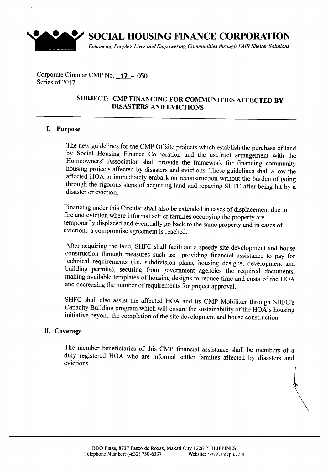

**SOCIAL HOUSING FINANCE CORPORATION**

*Enhancing Peoples Lives and Empowering Communities through FAIR Shelter Solutions*

Corporate Circular CMP No. **17 - 050** Series of 2017

### **SUBJECT: CMP FINANCING FOR COMMUNITIES AFFECTED BY DISASTERS AND EVICTIONS**

#### **I. Purpose**

The new guidelines for the CMP Offsite projects which establish the purchase of land by Social Housing Finance Corporation and the usufruct arrangement with the Homeowners' Association shall provide the framework for financing community housing projects affected by disasters and evictions. These guidelines shall allow the affected HOA to immediately embark on reconstruction without the burden of going through the rigorous steps of acquiring land and repaying SHFC after being hit by a disaster or eviction.

Financing under this Circular shall also be extended in cases of displacement due to fire and eviction where informal settler families occupying the property are temporarily displaced and eventually go back to the same property and in cases of eviction, a compromise agreement is reached.

After acquiring the land, SHFC shall facilitate a speedy site development and house construction through measures such as: providing financial assistance to pay for technical requirements (i.e. subdivision plans, housing designs, development and building permits), securing from government agencies the required documents, making available templates of housing designs to reduce time and costs of the HOA and decreasing the number of requirements for project approval.

SHFC shall also assist the affected HOA and its CMP Mobilizer through SHFC's Capacity Building program which will ensure the sustainability of the HOA's housing initiative beyond the completion of the site development and house construction.

#### II. **Coverage**

The member beneficiaries of this CMP financial assistance shall be members of a duly registered HOA who are informal settler families affected by disasters and evictions.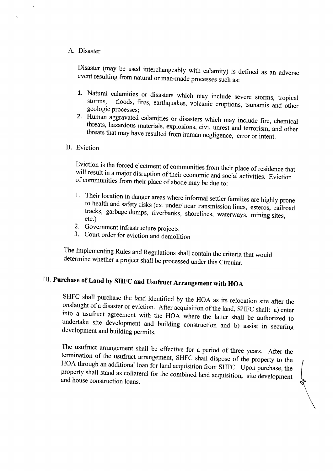#### A. Disaster

Disaster (may be used interchangeably with calamity) is defined as an adverse event resulting from natural or man-made processes such as:

- 1. Natural calamities or disasters which may include severe storms, tropical storms, floods, fires earthquakes volcanic equations to the floods, fires, earthquakes, volcanic eruptions, tsunamis and other geologic processes;
- 2. Human aggravated calamities or disasters which may include fire, chemical threats, hazardous materials, explosions, civil unrest and terrorism, and other threats that may have resulted from human negligence, error or intent.
- B. Eviction

Eviction is the forced ejectment of communities from their place of residence that will result in a major disruption of their economic and social activities. Eviction of communities from their place of abode may be due to:

- 1. Their location in danger areas where informal settler families are highly prone to health and safety risks (ex. under/ near transmission lines, esteros, railroad tracks, garbage dumps, riverbanks, shorelines, waterways, mining sites, etc.)
- 2. Government infrastructure projects
- 3. Court order for eviction and demolition

The Implementing Rules and Regulations shall contain the criteria that would determine whether a project shall be processed under this Circular.

## III. **Purchase of Land by SHFC and Usufruct Arrangement with HOA**

SHFC shall purchase the land identified by the HOA as its relocation site after the onslaught of a disaster or eviction. After acquisition of the land, SHFC shall: a) enter into a usufruct agreement with the HOA where the latter shall be authorized to undertake site development and building construction and b) assist in securing development and building permits.

The usufruct arrangement shall be effective for a period of three years. After the termination of the usufruct arrangement, SHFC shall dispose of the property to the HOA through an additional loan for land acquisition from SHFC. Upon purchase, the property shall stand as collateral for the combined land acquisition, site development and house construction loans.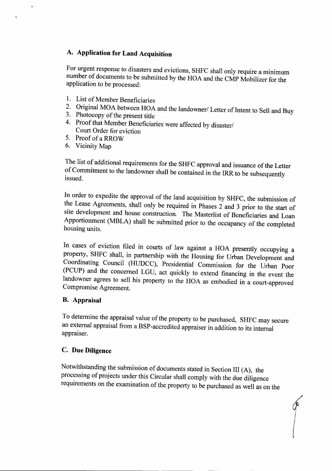### A. **Application for Land Acquisition**

For urgent response to disasters and evictions, SHFC shall only require a minimum number of documents to be submitted by the HOA and the CMP Mobilizer for the application to be processed:

- 1. List of Member Beneficiaries
- 2. Original MOA between HOA and the landowner/ Letter of Intent to Sell and Buy
- 3. Photocopy of the present title
- 4. Proof that Member Beneficiaries were affected by disaster/ Court Order for eviction
- 5. Proof of a RROW
- 6. Vicinity Map

 $\ddot{\phantom{0}}$ 

The list of additional requirements for the SHFC approval and issuance of the Letter of Commitment to the landowner shall be contained in the IRR to be subsequently issued.

In order to expedite the approval of the land acquisition by SHFC, the submission of the Lease Agreements, shall only be required in Phases 2 and 3 prior to the start of site development and house construction. The Masterlist of Beneficiaries and Loan Apportionment (MBLA) shall be submitted prior to the occupancy of the completed housing units.

In cases of eviction filed in courts of law against a HOA presently occupying a property, SHFC shall, in partnership with the Housing for Urban Development and Coordinating Council (HUDCC), Presidential Commission for the Urban Poor (PCUP) and the concerned LOU, act quickly to extend financing in the event the landowner agrees to sell his property to the HOA as embodied in a court-approved Compromise Agreement.

#### **B. Appraisal**

To determine the appraisal value of the property to be purchased, SHFC may secure an external appraisal from a BSP-accredited appraiser in addition to its internal appraiser.

#### C. **Due Diligence**

Notwithstanding the submission of documents stated in Section III (A), the processing of projects under this Circular shall comply with the due diligence requirements on the examination of the property to be purchased as well as on the